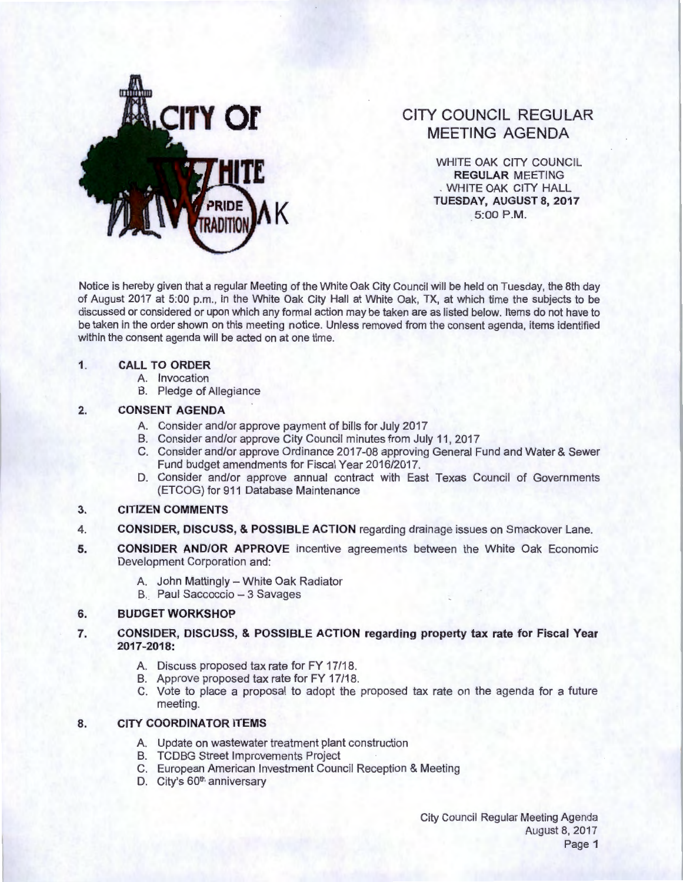

# **CITY COUNCIL REGULAR MEETING AGENDA**

WHITE OAK CITY COUNCIL **REGULAR** MEETING . WHITE OAK CITY HALL **TUESDAY, AUGUST 8, 2017**<br>5:00 P.M.

Notice is hereby given that a regular Meeting of the White Oak City Council will be held on Tuesday, the 8th day of August 2017 at 5:00 p.m., in the White Oak City Hall at White Oak, TX, at which time the subjects to be discussed or considered or upon which any formal action may be taken are as listed below. Items do not have to be taken in the order shown on this meeting notice. Unless removed from the consent agenda, items identified within the consent agenda will be acted on at one time.

#### **1. CALL TO ORDER**

- A. Invocation
- B. Pledge of Allegiance

## **2. CONSENT AGENDA**

- A. Consider and/or approve payment of bills for July 2017
- B. Consider and/or approve City Council minutes from July 11, 2017
- C. Consider and/or approve Ordinance 2017-08 approving General Fund and Water & Sewer Fund budget amendments for Fiscal Year 2016/2017.
- D. Consider and/or approve annual contract with East Texas Council of Governments (ETCOG) for 911 Database Maintenance

#### **3. CITIZEN COMMENTS**

- 4. **CONSIDER, DISCUSS, & POSSIBLE ACTION** regarding drainage issues on Smackover Lane.
- **5. CONSIDER AND/OR APPROVE** incentive agreements between the White Oak Economic Development Corporation and:
	- A. John Mattingly White Oak Radiator
	- B. Paul Saccoccio 3 Savages

#### **6. BUDGET WORKSHOP**

- **7. CONSIDER, DISCUSS, & POSSIBLE ACTION regarding property tax rate for Fiscal Year 2017-2018:** 
	- A. Discuss proposed tax rate for FY 17/18.
	- B. Approve proposed tax rate for FY 17/18.
	- C. Vote to place a proposal to adopt the proposed tax rate on the agenda for a future meeting.

## **8. CITY COORDINATOR ITEMS**

- A. Update on wastewater treatment plant construction
- B. TCDBG Street Improvements Project
- C. European American Investment Council Reception & Meeting
- D. City's 60<sup>th</sup> anniversary